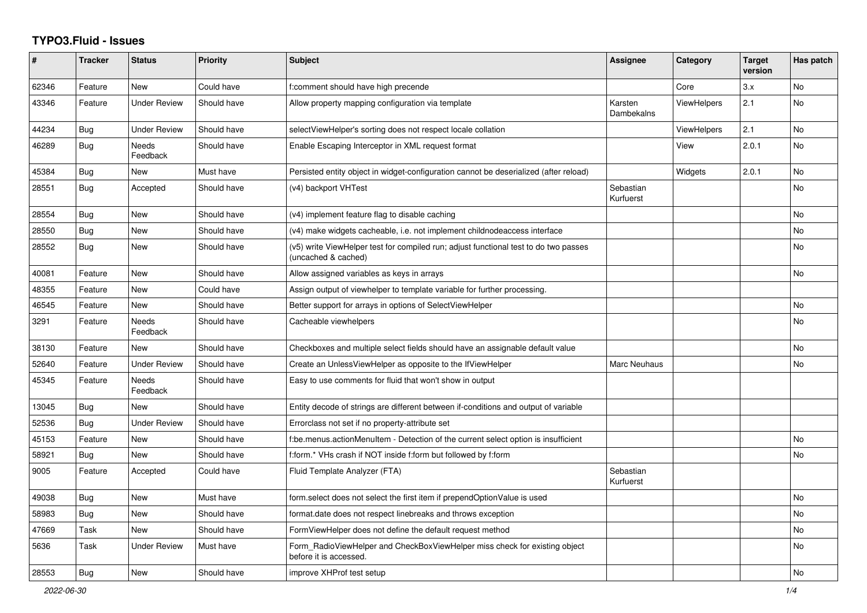## **TYPO3.Fluid - Issues**

| #     | <b>Tracker</b> | <b>Status</b>       | <b>Priority</b> | <b>Subject</b>                                                                                              | <b>Assignee</b>        | Category           | <b>Target</b><br>version | Has patch |
|-------|----------------|---------------------|-----------------|-------------------------------------------------------------------------------------------------------------|------------------------|--------------------|--------------------------|-----------|
| 62346 | Feature        | <b>New</b>          | Could have      | f:comment should have high precende                                                                         |                        | Core               | 3.x                      | <b>No</b> |
| 43346 | Feature        | <b>Under Review</b> | Should have     | Allow property mapping configuration via template                                                           | Karsten<br>Dambekalns  | <b>ViewHelpers</b> | 2.1                      | <b>No</b> |
| 44234 | Bug            | <b>Under Review</b> | Should have     | selectViewHelper's sorting does not respect locale collation                                                |                        | <b>ViewHelpers</b> | 2.1                      | No        |
| 46289 | Bug            | Needs<br>Feedback   | Should have     | Enable Escaping Interceptor in XML request format                                                           |                        | View               | 2.0.1                    | <b>No</b> |
| 45384 | Bug            | <b>New</b>          | Must have       | Persisted entity object in widget-configuration cannot be deserialized (after reload)                       |                        | Widgets            | 2.0.1                    | <b>No</b> |
| 28551 | <b>Bug</b>     | Accepted            | Should have     | (v4) backport VHTest                                                                                        | Sebastian<br>Kurfuerst |                    |                          | No        |
| 28554 | Bug            | New                 | Should have     | (v4) implement feature flag to disable caching                                                              |                        |                    |                          | <b>No</b> |
| 28550 | Bug            | New                 | Should have     | (v4) make widgets cacheable, i.e. not implement childnodeaccess interface                                   |                        |                    |                          | <b>No</b> |
| 28552 | <b>Bug</b>     | New                 | Should have     | (v5) write ViewHelper test for compiled run; adjust functional test to do two passes<br>(uncached & cached) |                        |                    |                          | <b>No</b> |
| 40081 | Feature        | New                 | Should have     | Allow assigned variables as keys in arrays                                                                  |                        |                    |                          | No        |
| 48355 | Feature        | New                 | Could have      | Assign output of viewhelper to template variable for further processing.                                    |                        |                    |                          |           |
| 46545 | Feature        | New                 | Should have     | Better support for arrays in options of SelectViewHelper                                                    |                        |                    |                          | <b>No</b> |
| 3291  | Feature        | Needs<br>Feedback   | Should have     | Cacheable viewhelpers                                                                                       |                        |                    |                          | No        |
| 38130 | Feature        | New                 | Should have     | Checkboxes and multiple select fields should have an assignable default value                               |                        |                    |                          | No        |
| 52640 | Feature        | <b>Under Review</b> | Should have     | Create an UnlessViewHelper as opposite to the IfViewHelper                                                  | Marc Neuhaus           |                    |                          | No        |
| 45345 | Feature        | Needs<br>Feedback   | Should have     | Easy to use comments for fluid that won't show in output                                                    |                        |                    |                          |           |
| 13045 | Bug            | <b>New</b>          | Should have     | Entity decode of strings are different between if-conditions and output of variable                         |                        |                    |                          |           |
| 52536 | <b>Bug</b>     | <b>Under Review</b> | Should have     | Errorclass not set if no property-attribute set                                                             |                        |                    |                          |           |
| 45153 | Feature        | <b>New</b>          | Should have     | f:be.menus.actionMenuItem - Detection of the current select option is insufficient                          |                        |                    |                          | <b>No</b> |
| 58921 | Bug            | New                 | Should have     | f:form.* VHs crash if NOT inside f:form but followed by f:form                                              |                        |                    |                          | No        |
| 9005  | Feature        | Accepted            | Could have      | Fluid Template Analyzer (FTA)                                                                               | Sebastian<br>Kurfuerst |                    |                          |           |
| 49038 | Bug            | New                 | Must have       | form.select does not select the first item if prependOptionValue is used                                    |                        |                    |                          | No        |
| 58983 | Bug            | New                 | Should have     | format.date does not respect linebreaks and throws exception                                                |                        |                    |                          | No        |
| 47669 | Task           | <b>New</b>          | Should have     | FormViewHelper does not define the default request method                                                   |                        |                    |                          | No        |
| 5636  | Task           | <b>Under Review</b> | Must have       | Form RadioViewHelper and CheckBoxViewHelper miss check for existing object<br>before it is accessed.        |                        |                    |                          | <b>No</b> |
| 28553 | <b>Bug</b>     | <b>New</b>          | Should have     | improve XHProf test setup                                                                                   |                        |                    |                          | <b>No</b> |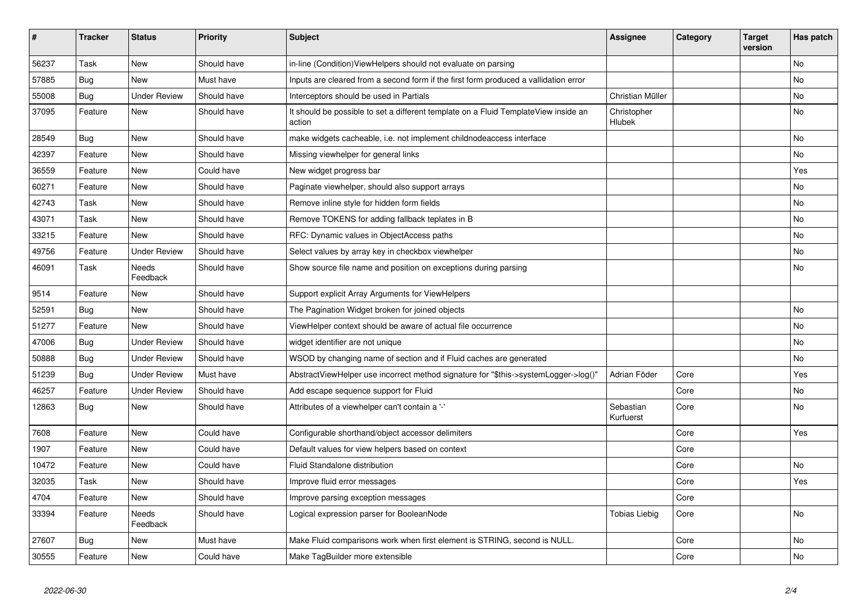| #     | <b>Tracker</b> | <b>Status</b>            | <b>Priority</b> | <b>Subject</b>                                                                                | <b>Assignee</b>        | Category | Target<br>version | Has patch |
|-------|----------------|--------------------------|-----------------|-----------------------------------------------------------------------------------------------|------------------------|----------|-------------------|-----------|
| 56237 | Task           | <b>New</b>               | Should have     | in-line (Condition) View Helpers should not evaluate on parsing                               |                        |          |                   | <b>No</b> |
| 57885 | Bug            | New                      | Must have       | Inputs are cleared from a second form if the first form produced a vallidation error          |                        |          |                   | <b>No</b> |
| 55008 | <b>Bug</b>     | <b>Under Review</b>      | Should have     | Interceptors should be used in Partials                                                       | Christian Müller       |          |                   | No        |
| 37095 | Feature        | <b>New</b>               | Should have     | It should be possible to set a different template on a Fluid TemplateView inside an<br>action | Christopher<br>Hlubek  |          |                   | <b>No</b> |
| 28549 | <b>Bug</b>     | New                      | Should have     | make widgets cacheable, i.e. not implement childnodeaccess interface                          |                        |          |                   | No        |
| 42397 | Feature        | <b>New</b>               | Should have     | Missing viewhelper for general links                                                          |                        |          |                   | <b>No</b> |
| 36559 | Feature        | <b>New</b>               | Could have      | New widget progress bar                                                                       |                        |          |                   | Yes       |
| 60271 | Feature        | New                      | Should have     | Paginate viewhelper, should also support arrays                                               |                        |          |                   | No        |
| 42743 | Task           | <b>New</b>               | Should have     | Remove inline style for hidden form fields                                                    |                        |          |                   | <b>No</b> |
| 43071 | Task           | <b>New</b>               | Should have     | Remove TOKENS for adding fallback teplates in B                                               |                        |          |                   | No        |
| 33215 | Feature        | <b>New</b>               | Should have     | RFC: Dynamic values in ObjectAccess paths                                                     |                        |          |                   | No        |
| 49756 | Feature        | <b>Under Review</b>      | Should have     | Select values by array key in checkbox viewhelper                                             |                        |          |                   | <b>No</b> |
| 46091 | Task           | <b>Needs</b><br>Feedback | Should have     | Show source file name and position on exceptions during parsing                               |                        |          |                   | <b>No</b> |
| 9514  | Feature        | <b>New</b>               | Should have     | Support explicit Array Arguments for ViewHelpers                                              |                        |          |                   |           |
| 52591 | Bug            | <b>New</b>               | Should have     | The Pagination Widget broken for joined objects                                               |                        |          |                   | No        |
| 51277 | Feature        | <b>New</b>               | Should have     | ViewHelper context should be aware of actual file occurrence                                  |                        |          |                   | No        |
| 47006 | Bug            | <b>Under Review</b>      | Should have     | widget identifier are not unique                                                              |                        |          |                   | <b>No</b> |
| 50888 | Bug            | <b>Under Review</b>      | Should have     | WSOD by changing name of section and if Fluid caches are generated                            |                        |          |                   | No        |
| 51239 | Bug            | <b>Under Review</b>      | Must have       | AbstractViewHelper use incorrect method signature for "\$this->systemLogger->log()"           | Adrian Föder           | Core     |                   | Yes       |
| 46257 | Feature        | <b>Under Review</b>      | Should have     | Add escape sequence support for Fluid                                                         |                        | Core     |                   | <b>No</b> |
| 12863 | Bug            | New                      | Should have     | Attributes of a viewhelper can't contain a '-'                                                | Sebastian<br>Kurfuerst | Core     |                   | <b>No</b> |
| 7608  | Feature        | <b>New</b>               | Could have      | Configurable shorthand/object accessor delimiters                                             |                        | Core     |                   | Yes       |
| 1907  | Feature        | <b>New</b>               | Could have      | Default values for view helpers based on context                                              |                        | Core     |                   |           |
| 10472 | Feature        | New                      | Could have      | Fluid Standalone distribution                                                                 |                        | Core     |                   | <b>No</b> |
| 32035 | Task           | New                      | Should have     | Improve fluid error messages                                                                  |                        | Core     |                   | Yes       |
| 4704  | Feature        | New                      | Should have     | Improve parsing exception messages                                                            |                        | Core     |                   |           |
| 33394 | Feature        | Needs<br>Feedback        | Should have     | Logical expression parser for BooleanNode                                                     | <b>Tobias Liebig</b>   | Core     |                   | <b>No</b> |
| 27607 | Bug            | <b>New</b>               | Must have       | Make Fluid comparisons work when first element is STRING, second is NULL.                     |                        | Core     |                   | <b>No</b> |
| 30555 | Feature        | <b>New</b>               | Could have      | Make TagBuilder more extensible                                                               |                        | Core     |                   | <b>No</b> |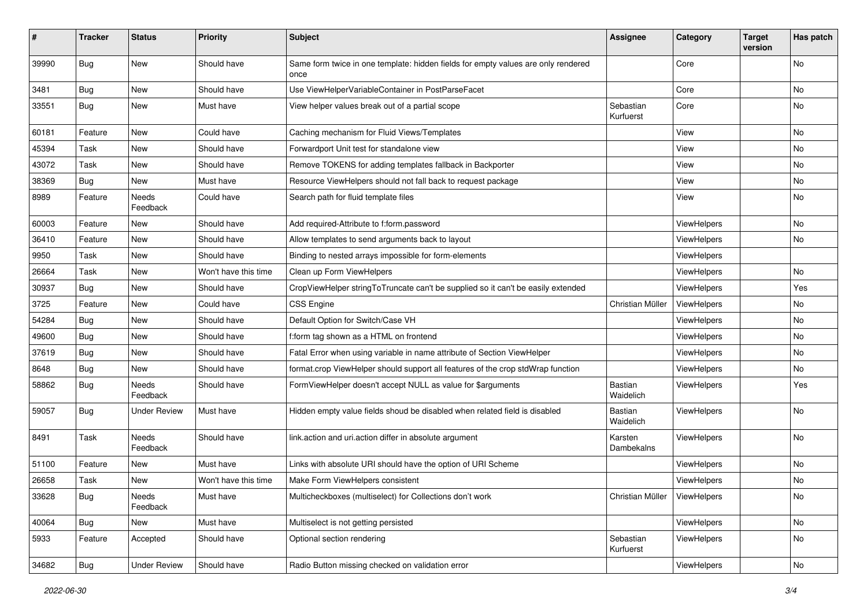| #     | <b>Tracker</b> | <b>Status</b>       | <b>Priority</b>      | <b>Subject</b>                                                                            | <b>Assignee</b>        | Category    | <b>Target</b><br>version | Has patch |
|-------|----------------|---------------------|----------------------|-------------------------------------------------------------------------------------------|------------------------|-------------|--------------------------|-----------|
| 39990 | Bug            | New                 | Should have          | Same form twice in one template: hidden fields for empty values are only rendered<br>once |                        | Core        |                          | <b>No</b> |
| 3481  | Bug            | New                 | Should have          | Use ViewHelperVariableContainer in PostParseFacet                                         |                        | Core        |                          | No        |
| 33551 | <b>Bug</b>     | New                 | Must have            | View helper values break out of a partial scope                                           | Sebastian<br>Kurfuerst | Core        |                          | <b>No</b> |
| 60181 | Feature        | <b>New</b>          | Could have           | Caching mechanism for Fluid Views/Templates                                               |                        | View        |                          | No        |
| 45394 | Task           | New                 | Should have          | Forwardport Unit test for standalone view                                                 |                        | View        |                          | No        |
| 43072 | Task           | New                 | Should have          | Remove TOKENS for adding templates fallback in Backporter                                 |                        | View        |                          | No        |
| 38369 | Bug            | New                 | Must have            | Resource ViewHelpers should not fall back to request package                              |                        | View        |                          | No        |
| 8989  | Feature        | Needs<br>Feedback   | Could have           | Search path for fluid template files                                                      |                        | View        |                          | No        |
| 60003 | Feature        | New                 | Should have          | Add required-Attribute to f:form.password                                                 |                        | ViewHelpers |                          | <b>No</b> |
| 36410 | Feature        | New                 | Should have          | Allow templates to send arguments back to layout                                          |                        | ViewHelpers |                          | No        |
| 9950  | Task           | New                 | Should have          | Binding to nested arrays impossible for form-elements                                     |                        | ViewHelpers |                          |           |
| 26664 | Task           | New                 | Won't have this time | Clean up Form ViewHelpers                                                                 |                        | ViewHelpers |                          | No        |
| 30937 | Bug            | New                 | Should have          | CropViewHelper stringToTruncate can't be supplied so it can't be easily extended          |                        | ViewHelpers |                          | Yes       |
| 3725  | Feature        | New                 | Could have           | <b>CSS Engine</b>                                                                         | Christian Müller       | ViewHelpers |                          | No        |
| 54284 | Bug            | New                 | Should have          | Default Option for Switch/Case VH                                                         |                        | ViewHelpers |                          | No        |
| 49600 | Bug            | New                 | Should have          | f:form tag shown as a HTML on frontend                                                    |                        | ViewHelpers |                          | No        |
| 37619 | Bug            | New                 | Should have          | Fatal Error when using variable in name attribute of Section ViewHelper                   |                        | ViewHelpers |                          | No        |
| 8648  | <b>Bug</b>     | New                 | Should have          | format.crop ViewHelper should support all features of the crop stdWrap function           |                        | ViewHelpers |                          | No        |
| 58862 | Bug            | Needs<br>Feedback   | Should have          | FormViewHelper doesn't accept NULL as value for \$arguments                               | Bastian<br>Waidelich   | ViewHelpers |                          | Yes       |
| 59057 | Bug            | Under Review        | Must have            | Hidden empty value fields shoud be disabled when related field is disabled                | Bastian<br>Waidelich   | ViewHelpers |                          | No        |
| 8491  | Task           | Needs<br>Feedback   | Should have          | link.action and uri.action differ in absolute argument                                    | Karsten<br>Dambekalns  | ViewHelpers |                          | No        |
| 51100 | Feature        | New                 | Must have            | Links with absolute URI should have the option of URI Scheme                              |                        | ViewHelpers |                          | No        |
| 26658 | Task           | New                 | Won't have this time | Make Form ViewHelpers consistent                                                          |                        | ViewHelpers |                          | No        |
| 33628 | <b>Bug</b>     | Needs<br>Feedback   | Must have            | Multicheckboxes (multiselect) for Collections don't work                                  | Christian Müller       | ViewHelpers |                          | No        |
| 40064 | <b>Bug</b>     | New                 | Must have            | Multiselect is not getting persisted                                                      |                        | ViewHelpers |                          | No        |
| 5933  | Feature        | Accepted            | Should have          | Optional section rendering                                                                | Sebastian<br>Kurfuerst | ViewHelpers |                          | No        |
| 34682 | <b>Bug</b>     | <b>Under Review</b> | Should have          | Radio Button missing checked on validation error                                          |                        | ViewHelpers |                          | No        |